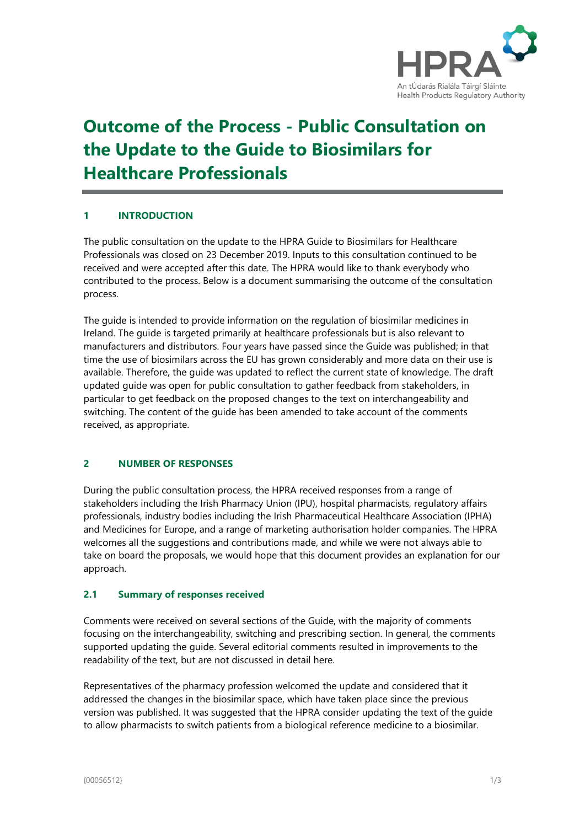

# **Outcome of the Process - Public Consultation on the Update to the Guide to Biosimilars for Healthcare Professionals**

## **1 INTRODUCTION**

The public consultation on the update to the HPRA Guide to Biosimilars for Healthcare Professionals was closed on 23 December 2019. Inputs to this consultation continued to be received and were accepted after this date. The HPRA would like to thank everybody who contributed to the process. Below is a document summarising the outcome of the consultation process.

The guide is intended to provide information on the regulation of biosimilar medicines in Ireland. The guide is targeted primarily at healthcare professionals but is also relevant to manufacturers and distributors. Four years have passed since the Guide was published; in that time the use of biosimilars across the EU has grown considerably and more data on their use is available. Therefore, the guide was updated to reflect the current state of knowledge. The draft updated guide was open for public consultation to gather feedback from stakeholders, in particular to get feedback on the proposed changes to the text on interchangeability and switching. The content of the guide has been amended to take account of the comments received, as appropriate.

## **2 NUMBER OF RESPONSES**

During the public consultation process, the HPRA received responses from a range of stakeholders including the Irish Pharmacy Union (IPU), hospital pharmacists, regulatory affairs professionals, industry bodies including the Irish Pharmaceutical Healthcare Association (IPHA) and Medicines for Europe, and a range of marketing authorisation holder companies. The HPRA welcomes all the suggestions and contributions made, and while we were not always able to take on board the proposals, we would hope that this document provides an explanation for our approach.

#### **2.1 Summary of responses received**

Comments were received on several sections of the Guide, with the majority of comments focusing on the interchangeability, switching and prescribing section. In general, the comments supported updating the guide. Several editorial comments resulted in improvements to the readability of the text, but are not discussed in detail here.

Representatives of the pharmacy profession welcomed the update and considered that it addressed the changes in the biosimilar space, which have taken place since the previous version was published. It was suggested that the HPRA consider updating the text of the guide to allow pharmacists to switch patients from a biological reference medicine to a biosimilar.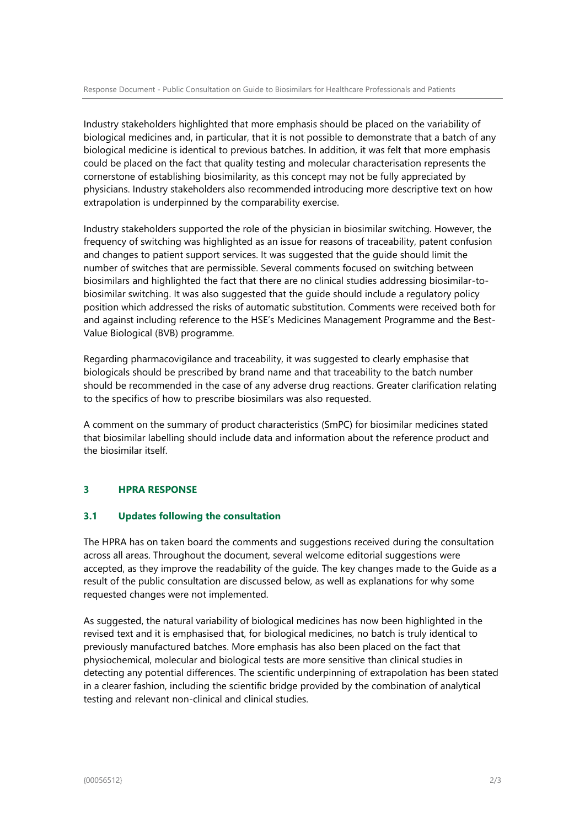Industry stakeholders highlighted that more emphasis should be placed on the variability of biological medicines and, in particular, that it is not possible to demonstrate that a batch of any biological medicine is identical to previous batches. In addition, it was felt that more emphasis could be placed on the fact that quality testing and molecular characterisation represents the cornerstone of establishing biosimilarity, as this concept may not be fully appreciated by physicians. Industry stakeholders also recommended introducing more descriptive text on how extrapolation is underpinned by the comparability exercise.

Industry stakeholders supported the role of the physician in biosimilar switching. However, the frequency of switching was highlighted as an issue for reasons of traceability, patent confusion and changes to patient support services. It was suggested that the guide should limit the number of switches that are permissible. Several comments focused on switching between biosimilars and highlighted the fact that there are no clinical studies addressing biosimilar-tobiosimilar switching. It was also suggested that the guide should include a regulatory policy position which addressed the risks of automatic substitution. Comments were received both for and against including reference to the HSE's Medicines Management Programme and the Best-Value Biological (BVB) programme.

Regarding pharmacovigilance and traceability, it was suggested to clearly emphasise that biologicals should be prescribed by brand name and that traceability to the batch number should be recommended in the case of any adverse drug reactions. Greater clarification relating to the specifics of how to prescribe biosimilars was also requested.

A comment on the summary of product characteristics (SmPC) for biosimilar medicines stated that biosimilar labelling should include data and information about the reference product and the biosimilar itself.

## **3 HPRA RESPONSE**

#### **3.1 Updates following the consultation**

The HPRA has on taken board the comments and suggestions received during the consultation across all areas. Throughout the document, several welcome editorial suggestions were accepted, as they improve the readability of the guide. The key changes made to the Guide as a result of the public consultation are discussed below, as well as explanations for why some requested changes were not implemented.

As suggested, the natural variability of biological medicines has now been highlighted in the revised text and it is emphasised that, for biological medicines, no batch is truly identical to previously manufactured batches. More emphasis has also been placed on the fact that physiochemical, molecular and biological tests are more sensitive than clinical studies in detecting any potential differences. The scientific underpinning of extrapolation has been stated in a clearer fashion, including the scientific bridge provided by the combination of analytical testing and relevant non-clinical and clinical studies.